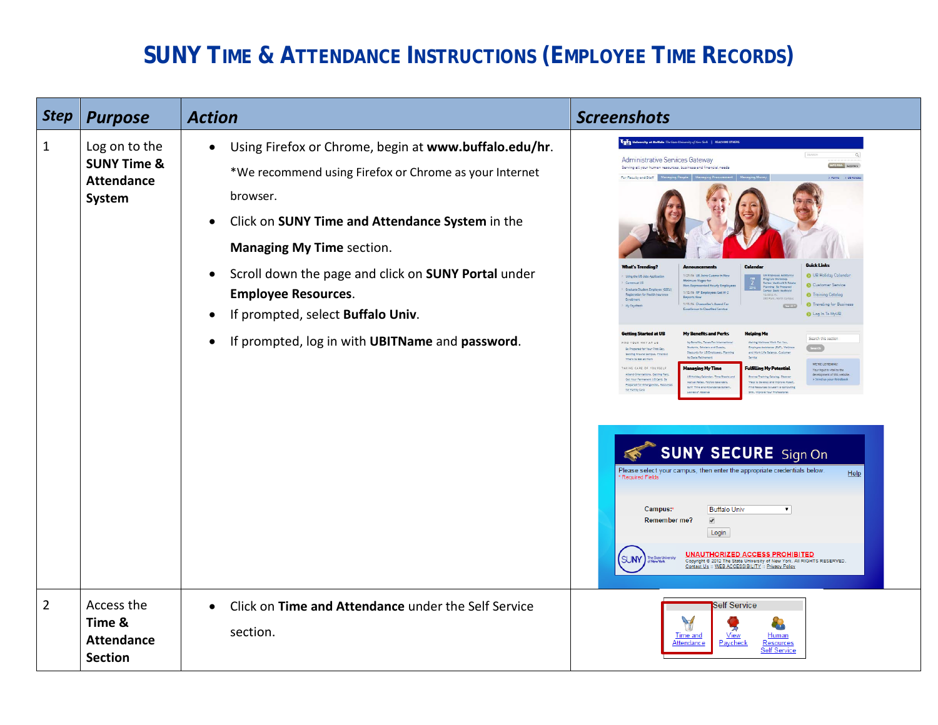## **SUNY TIME & ATTENDANCE INSTRUCTIONS (EMPLOYEE TIME RECORDS)**

| <b>Step</b>    | <b>Purpose</b>                                                         | <b>Action</b>                                                                                                                                                                                                                                                                                                                                                                                                                               | <b>Screenshots</b>                                                                                                                                                                                                                                                                                                                                                                                                                                                                                                                                                                                                                                                                                                                                                                                                                                                                                                                                                                                                                                                                                                                                                                                                                                                                                                                                                                                                                                                                                                                                                                                                                                                                                                                                                                                                                                                                                                                                                                                                                                                                                                                                                                                                                                                                                               |
|----------------|------------------------------------------------------------------------|---------------------------------------------------------------------------------------------------------------------------------------------------------------------------------------------------------------------------------------------------------------------------------------------------------------------------------------------------------------------------------------------------------------------------------------------|------------------------------------------------------------------------------------------------------------------------------------------------------------------------------------------------------------------------------------------------------------------------------------------------------------------------------------------------------------------------------------------------------------------------------------------------------------------------------------------------------------------------------------------------------------------------------------------------------------------------------------------------------------------------------------------------------------------------------------------------------------------------------------------------------------------------------------------------------------------------------------------------------------------------------------------------------------------------------------------------------------------------------------------------------------------------------------------------------------------------------------------------------------------------------------------------------------------------------------------------------------------------------------------------------------------------------------------------------------------------------------------------------------------------------------------------------------------------------------------------------------------------------------------------------------------------------------------------------------------------------------------------------------------------------------------------------------------------------------------------------------------------------------------------------------------------------------------------------------------------------------------------------------------------------------------------------------------------------------------------------------------------------------------------------------------------------------------------------------------------------------------------------------------------------------------------------------------------------------------------------------------------------------------------------------------|
| $\mathbf{1}$   | Log on to the<br><b>SUNY Time &amp;</b><br><b>Attendance</b><br>System | Using Firefox or Chrome, begin at www.buffalo.edu/hr.<br>$\bullet$<br>*We recommend using Firefox or Chrome as your Internet<br>browser.<br>Click on SUNY Time and Attendance System in the<br>$\bullet$<br><b>Managing My Time section.</b><br>Scroll down the page and click on SUNY Portal under<br>$\bullet$<br><b>Employee Resources.</b><br>If prompted, select Buffalo Univ.<br>If prompted, log in with UBITName and password.<br>٠ | University at Buffalo The State University of New York   REACHING OTHE<br>SEARCH<br>$\alpha$<br><b>Administrative Services Gateway</b><br>INFO FOR: Suppliers<br>Serving all your human resources, business and financial needs<br>For Faculty and Staff<br>Forms > UB Polic<br><b>Quick Links</b><br>1/27/16 UB Joins Cuomo in Ne<br><b>O</b> UB Holiday Calenda<br>Using the US Jobs Applic<br><b>Intmum Wages for</b><br>Careers at UB<br><b>C. Medicatd B. Ext</b><br>Customer Service<br>n-Represented Hourly Emp<br>ming: Be P<br>Graduate Student Employee (GS)<br>1/12/16 RF Employees Get W-2<br><b>6</b> Training Catalog<br>Registration for Health Insur.<br>1/11/16 Chancellor's Award For<br><sup>6</sup> Traveling for Business<br>Mr Payohed<br><b>CYTTE</b><br>ence th Classified Service<br>Log In To MyUB<br><b>Getting Started at UB</b><br><b>My Benefits and Perks</b><br>leloina Me<br>Search this section<br>FIND YOUR WAY AT UB<br>My Benefits, Taxes For Interna<br>Making Wellness Work For You<br>Search<br><b>Students, Scholars and Guest</b><br>nployee Assistance (EAP), Welln-<br>Be Prepared for Your First Da<br>counts for UB Employees,<br>Setting Around Campus, Find Out<br>My State Retirement<br>Where to Eat at Work<br>WE'RE LISTENING<br>lanaging My Time<br>TAKING CARE OF YOURSELF<br><b>Fulfilling My Potentia</b><br>Your input is vital to the<br>Attend Orientations, Getting Pald<br>development of this websit<br>> Send us your feedback<br>UB Hollday Calendar, Time Sheets an<br>Browse Training Catalog, Discover<br>det Your Permanent UB Card, Be<br>Accrual Rates, Payroll Calendars,<br>Ways to Develop and Improve Myself<br>Prepared for Emergencies, Reso<br>SUNY Time and Attendance System,<br>d Resources to Learn a Computing<br>for Family Care<br>someon to zeroz<br>Skill, Improve Your Professions<br><b>SUNY SECURE</b> Sign On<br>Please select your campus, then enter the appropriate credentials below<br>Help<br>Required Fields<br><b>Buffalo Univ</b><br>Campus:*<br>$\blacktriangledown$<br>$\blacktriangledown$<br><b>Remember me?</b><br>Login<br>UNAUTHORIZED ACCESS PROHIBITED<br><b>SUNY</b><br>Copyright @ 2012 The State University of New York. All RIGHTS RESERVED<br>Contact Us :: WEB ACCESSIBILITY :: Privacy Policy |
| $\overline{2}$ | Access the<br>Time &<br><b>Attendance</b><br><b>Section</b>            | Click on Time and Attendance under the Self Service<br>$\bullet$<br>section.                                                                                                                                                                                                                                                                                                                                                                | Self Service<br>Y<br><b>Time and</b><br><u>View</u><br>Human<br><u>Attendance</u><br>Paycheck<br>Resources<br><b>Self Service</b>                                                                                                                                                                                                                                                                                                                                                                                                                                                                                                                                                                                                                                                                                                                                                                                                                                                                                                                                                                                                                                                                                                                                                                                                                                                                                                                                                                                                                                                                                                                                                                                                                                                                                                                                                                                                                                                                                                                                                                                                                                                                                                                                                                                |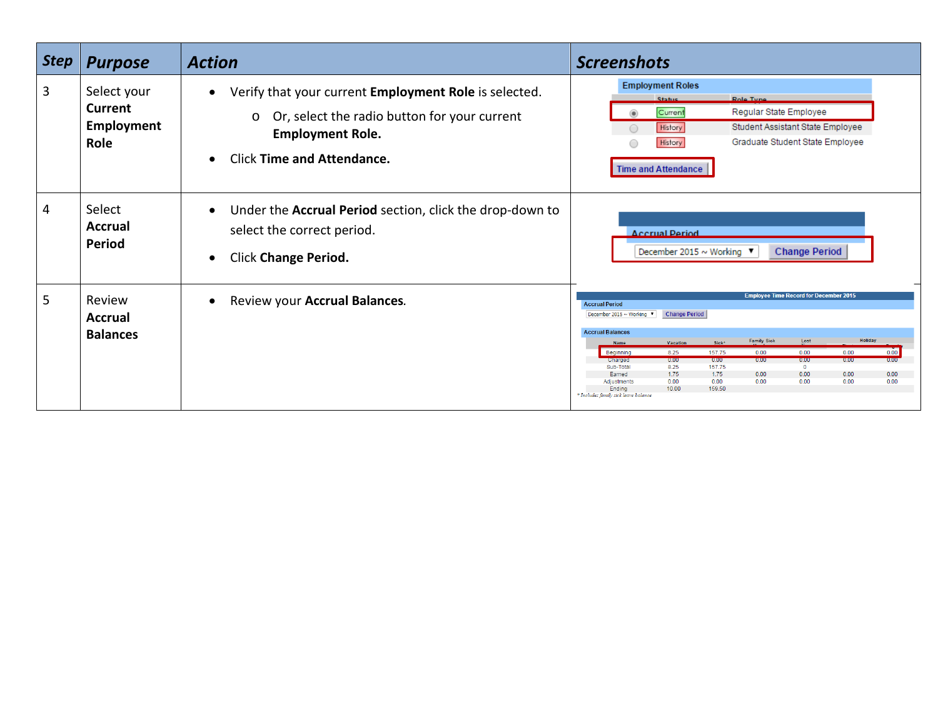| <b>Step</b>    | <b>Purpose</b>                                      | <b>Action</b>                                                                                                                                                                                 | <b>Screenshots</b>                                                                                                                                                                                                                                                                                                                                                                                                                                                                                                                                                                                                                  |
|----------------|-----------------------------------------------------|-----------------------------------------------------------------------------------------------------------------------------------------------------------------------------------------------|-------------------------------------------------------------------------------------------------------------------------------------------------------------------------------------------------------------------------------------------------------------------------------------------------------------------------------------------------------------------------------------------------------------------------------------------------------------------------------------------------------------------------------------------------------------------------------------------------------------------------------------|
| 3              | Select your<br><b>Current</b><br>Employment<br>Role | Verify that your current Employment Role is selected.<br>Or, select the radio button for your current<br>$\circ$<br><b>Employment Role.</b><br><b>Click Time and Attendance.</b><br>$\bullet$ | <b>Employment Roles</b><br>Role Tyne<br>Status<br>Regular State Employee<br>Current<br>$\circledast$<br>Student Assistant State Employee<br>History<br>∩<br>Graduate Student State Employee<br>History<br><b>Time and Attendance</b>                                                                                                                                                                                                                                                                                                                                                                                                |
| $\overline{4}$ | Select<br><b>Accrual</b><br>Period                  | Under the <b>Accrual Period</b> section, click the drop-down to<br>$\bullet$<br>select the correct period.<br><b>Click Change Period.</b><br>$\bullet$                                        | <b>Accrual Period</b><br>December 2015 ~ Working ▼<br><b>Change Period</b>                                                                                                                                                                                                                                                                                                                                                                                                                                                                                                                                                          |
| 5              | Review<br><b>Accrual</b><br><b>Balances</b>         | Review your Accrual Balances.                                                                                                                                                                 | <b>Employee Time Record for December 2015</b><br><b>Accrual Period</b><br>December 2015 ~ Working $\blacktriangledown$<br><b>Change Period</b><br><b>Accrual Balances</b><br><b>Holiday</b><br><b>Family Sick</b><br>Lost<br>Sick*<br>Vacation<br><b>Name</b><br>8.25<br>157.75<br>0.00<br>0.00<br>0.00<br>0.00<br>Beginning<br>0.00<br>0.00<br>0.00<br>0.00<br>0.00<br>Charged<br>0.00<br>157.75<br>Sub-Total<br>8.25<br>$\mathbf{0}$<br>1.75<br>1.75<br>0.00<br>0.00<br>0.00<br>Earned<br>0.00<br>0.00<br>0.00<br>0.00<br>0.00<br>0.00<br>0.00<br>Adjustment<br>10.00<br>159.50<br>Ending<br>* Includes family sick leave balance |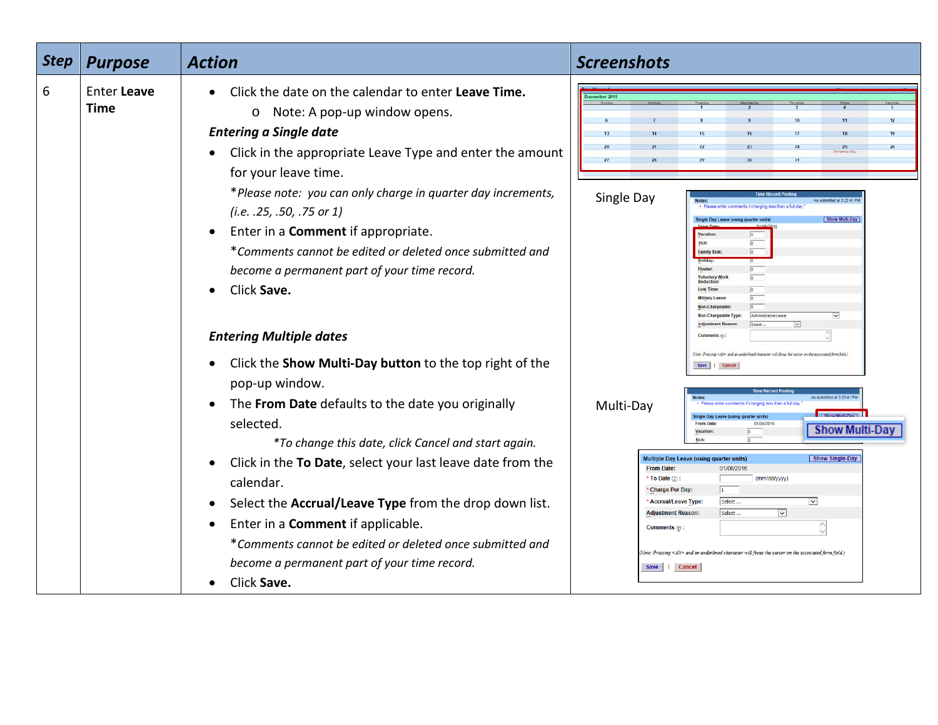| <b>Step</b> | <b>Purpose</b>             | <b>Action</b>                                                                                                                                                                                                                                                                                                                                                                                                                                                                                                                                              | <b>Screenshots</b>                                                                                                                                                                                                                                                                                                                                                                                                                                                                                                                                                                                                                                                                                                                                                                                                                                                                                                   |
|-------------|----------------------------|------------------------------------------------------------------------------------------------------------------------------------------------------------------------------------------------------------------------------------------------------------------------------------------------------------------------------------------------------------------------------------------------------------------------------------------------------------------------------------------------------------------------------------------------------------|----------------------------------------------------------------------------------------------------------------------------------------------------------------------------------------------------------------------------------------------------------------------------------------------------------------------------------------------------------------------------------------------------------------------------------------------------------------------------------------------------------------------------------------------------------------------------------------------------------------------------------------------------------------------------------------------------------------------------------------------------------------------------------------------------------------------------------------------------------------------------------------------------------------------|
| 6           | Enter Leave<br><b>Time</b> | Click the date on the calendar to enter Leave Time.<br>$\bullet$<br>o Note: A pop-up window opens.<br><b>Entering a Single date</b><br>Click in the appropriate Leave Type and enter the amount<br>for your leave time.<br>*Please note: you can only charge in quarter day increments,<br>$(i.e. .25, .50, .75$ or 1)<br>Enter in a <b>Comment</b> if appropriate.<br>$\bullet$<br>*Comments cannot be edited or deleted once submitted and<br>become a permanent part of your time record.<br>Click Save.<br>$\bullet$<br><b>Entering Multiple dates</b> | December 2015<br>12<br>19<br>24<br>25<br>26<br>Single Day<br>4s submitted at 3:23:41 F<br>ents if charging less than a full day<br>Single Day Leave (using quarter units<br>Vacation:<br>Sick:<br>Family Sick:<br><b>Voluntary Work</b><br>$\sim$<br>$\overline{\mathbf{v}}$                                                                                                                                                                                                                                                                                                                                                                                                                                                                                                                                                                                                                                         |
|             |                            | Click the Show Multi-Day button to the top right of the<br>pop-up window.<br>The From Date defaults to the date you originally<br>$\bullet$<br>selected.<br>*To change this date, click Cancel and start again.<br>Click in the To Date, select your last leave date from the<br>$\bullet$<br>calendar.<br>Select the Accrual/Leave Type from the drop down list.<br>Enter in a <b>Comment</b> if applicable.<br>$\bullet$<br>*Comments cannot be edited or deleted once submitted and<br>become a permanent part of your time record.<br>Click Save.      | Note: Prezzing <altr- an="" and="" associated="" character="" cursor="" field<br="" focus="" form="" on="" the="" underlined="" will="">Save Cancel<br/>a submitted at 3:23:41 P<br/>Multi-Day<br/><b>Single Day Le</b><br/>01/06/2016<br/><b>From Dat</b><br/><b>Show Multi-Day</b><br/>Show Single-Day<br/>Multiple Day Leave (using quarter units)<br/><b>From Date:</b><br/>01/06/2016<br/>(mm/dd/yyyy)<br/>* To Date <math>(2)</math> :<br/>* Charge Per Day:<br/><math display="inline">\overline{\mathbf{v}}</math><br/>* Accrual/Leave Type:<br/>Select <br/>Select <br/><math display="inline">\overline{\mathbf{v}}</math><br/><b>Adjustment Reason:</b><br/><math display="inline">\wedge</math><br/>Comments (r):<br/><math>\sqrt{1}</math> . Pressing <math>\ll</math>Alt<math>&gt;</math> and an underlined character will focus the cursor on the associated form field.)<br/>Save     Cancel</altr-> |